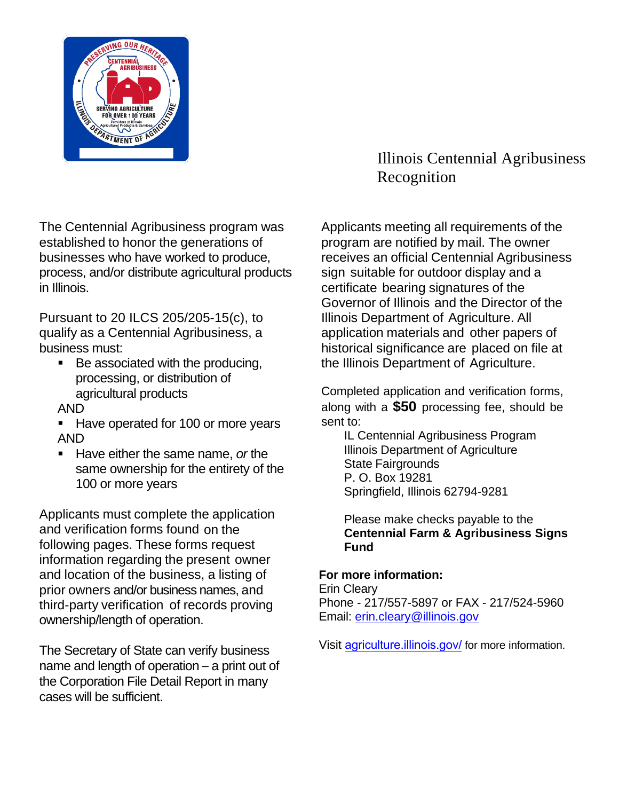

The Centennial Agribusiness program was established to honor the generations of businesses who have worked to produce, process, and/or distribute agricultural products in Illinois.

Pursuant to 20 ILCS 205/205-15(c), to qualify as a Centennial Agribusiness, a business must:

- Be associated with the producing, processing, or distribution of agricultural products AND
- 
- Have operated for 100 or more years AND
- **Have either the same name, or the** same ownership for the entirety of the 100 or more years

Applicants must complete the application and verification forms found on the following pages. These forms request information regarding the present owner and location of the business, a listing of prior owners and/or business names, and third-party verification of records proving ownership/length of operation.

The Secretary of State can verify business name and length of operation – a print out of the Corporation File Detail Report in many cases will be sufficient.

## Illinois Centennial Agribusiness Recognition

Applicants meeting all requirements of the program are notified by mail. The owner receives an official Centennial Agribusiness sign suitable for outdoor display and a certificate bearing signatures of the Governor of Illinois and the Director of the Illinois Department of Agriculture. All application materials and other papers of historical significance are placed on file at the Illinois Department of Agriculture.

Completed application and verification forms, along with a **\$50** processing fee, should be sent to:

IL Centennial Agribusiness Program Illinois Department of Agriculture State Fairgrounds P. O. Box 19281 Springfield, Illinois 62794-9281

Please make checks payable to the **Centennial Farm & Agribusiness Signs Fund**

## **For more information:**

Erin Cleary Phone - 217/557-5897 or FAX - 217/524-5960 Email: [erin.cleary@illinois.gov](mailto:erin.cleary@illinois.gov)

Visit [agriculture.illinois.gov](http://www.agr.state.il.us/)/ for more information.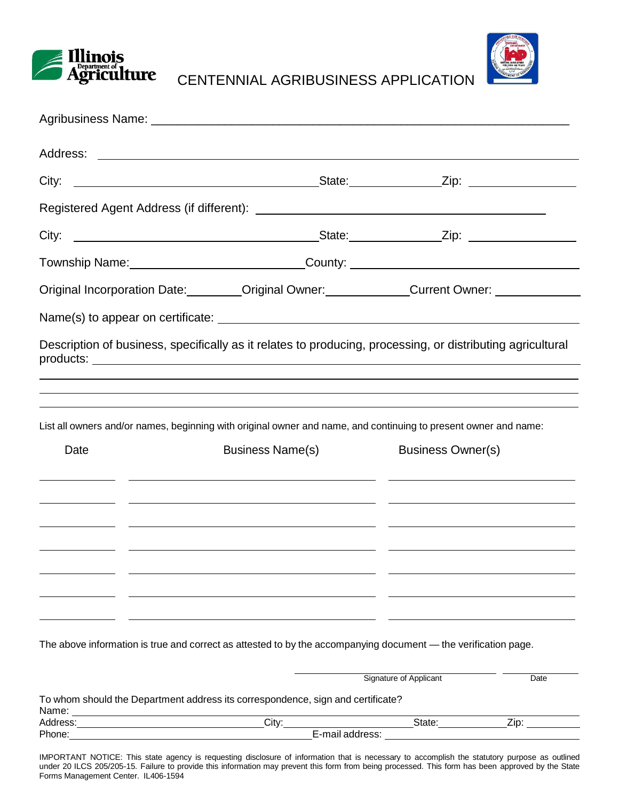



CENTENNIAL AGRIBUSINESS APPLICATION

| Township Name: ____________________________County: _____________________________ |                                                                                                                                                                                                                  |                          |      |
|----------------------------------------------------------------------------------|------------------------------------------------------------------------------------------------------------------------------------------------------------------------------------------------------------------|--------------------------|------|
|                                                                                  | Original Incorporation Date: Coriginal Owner: Current Owner: Current Owner:                                                                                                                                      |                          |      |
|                                                                                  |                                                                                                                                                                                                                  |                          |      |
|                                                                                  | ,我们也不会有什么。""我们的人,我们也不会有什么?""我们的人,我们也不会有什么?""我们的人,我们也不会有什么?""我们的人,我们也不会有什么?""我们的人                                                                                                                                 |                          |      |
|                                                                                  |                                                                                                                                                                                                                  |                          |      |
|                                                                                  | List all owners and/or names, beginning with original owner and name, and continuing to present owner and name:                                                                                                  |                          |      |
| Date                                                                             | <b>Business Name(s)</b><br><u> 1999 - Andrea Barbara, Amerikaansk politik (d. 1989)</u><br><u> 1999 - Johann Harry Harry Harry Harry Harry Harry Harry Harry Harry Harry Harry Harry Harry Harry Harry Harry</u> | <b>Business Owner(s)</b> |      |
|                                                                                  | <u> 1990 - Andrea Barbara, poeta esperanto-poeta esperanto-poeta esperanto-poeta esperanto-poeta esperanto-poeta</u><br><u> 2000 - Andrea Andrew Maria (b. 2000)</u>                                             |                          |      |
|                                                                                  |                                                                                                                                                                                                                  |                          |      |
|                                                                                  | The above information is true and correct as attested to by the accompanying document — the verification page.                                                                                                   |                          |      |
|                                                                                  |                                                                                                                                                                                                                  | Signature of Applicant   | Date |
|                                                                                  | To whom should the Department address its correspondence, sign and certificate?                                                                                                                                  |                          |      |

IMPORTANT NOTICE: This state agency is requesting disclosure of information that is necessary to accomplish the statutory purpose as outlined under 20 ILCS 205/205-15. Failure to provide this information may prevent this form from being processed. This form has been approved by the State Forms Management Center. IL406-1594